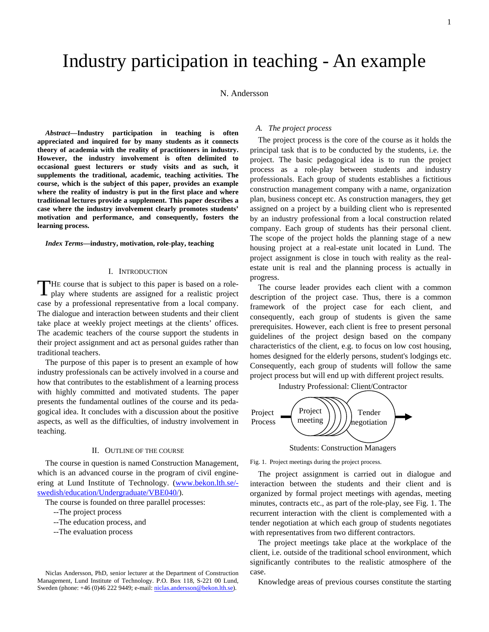# Industry participation in teaching - An example

N. Andersson

*Abstract***—Industry participation in teaching is often appreciated and inquired for by many students as it connects theory of academia with the reality of practitioners in industry. However, the industry involvement is often delimited to occasional guest lecturers or study visits and as such, it supplements the traditional, academic, teaching activities. The course, which is the subject of this paper, provides an example where the reality of industry is put in the first place and where traditional lectures provide a supplement. This paper describes a case where the industry involvement clearly promotes students' motivation and performance, and consequently, fosters the learning process.**

*Index Terms***—industry, motivation, role-play, teaching** 

#### I. INTRODUCTION

THE course that is subject to this paper is based on a role-<br>play where students are assigned for a realistic project play where students are assigned for a realistic project case by a professional representative from a local company. The dialogue and interaction between students and their client take place at weekly project meetings at the clients' offices. The academic teachers of the course support the students in their project assignment and act as personal guides rather than traditional teachers.

The purpose of this paper is to present an example of how industry professionals can be actively involved in a course and how that contributes to the establishment of a learning process with highly committed and motivated students. The paper presents the fundamental outlines of the course and its pedagogical idea. It concludes with a discussion about the positive aspects, as well as the difficulties, of industry involvement in teaching.

#### II. OUTLINE OF THE COURSE

The course in question is named Construction Management, which is an advanced course in the program of civil engineering at Lund Institute of Technology. (www.bekon.lth.se/ swedish/education/Undergraduate/VBE040/).

The course is founded on three parallel processes:

- --The project process
- --The education process, and
- --The evaluation process

## *A. The project process*

The project process is the core of the course as it holds the principal task that is to be conducted by the students, i.e. the project. The basic pedagogical idea is to run the project process as a role-play between students and industry professionals. Each group of students establishes a fictitious construction management company with a name, organization plan, business concept etc. As construction managers, they get assigned on a project by a building client who is represented by an industry professional from a local construction related company. Each group of students has their personal client. The scope of the project holds the planning stage of a new housing project at a real-estate unit located in Lund. The project assignment is close in touch with reality as the realestate unit is real and the planning process is actually in progress.

The course leader provides each client with a common description of the project case. Thus, there is a common framework of the project case for each client, and consequently, each group of students is given the same prerequisites. However, each client is free to present personal guidelines of the project design based on the company characteristics of the client, e.g. to focus on low cost housing, homes designed for the elderly persons, student's lodgings etc. Consequently, each group of students will follow the same project process but will end up with different project results.

Industry Professional: Client/Contractor



Fig. 1. Project meetings during the project process.

The project assignment is carried out in dialogue and interaction between the students and their client and is organized by formal project meetings with agendas, meeting minutes, contracts etc., as part of the role-play, see Fig. 1. The recurrent interaction with the client is complemented with a tender negotiation at which each group of students negotiates with representatives from two different contractors.

The project meetings take place at the workplace of the client, i.e. outside of the traditional school environment, which significantly contributes to the realistic atmosphere of the case.

Knowledge areas of previous courses constitute the starting

Niclas Andersson, PhD, senior lecturer at the Department of Construction Management, Lund Institute of Technology. P.O. Box 118, S-221 00 Lund, Sweden (phone: +46 (0)46 222 9449; e-mail: niclas.andersson@bekon.lth.se).